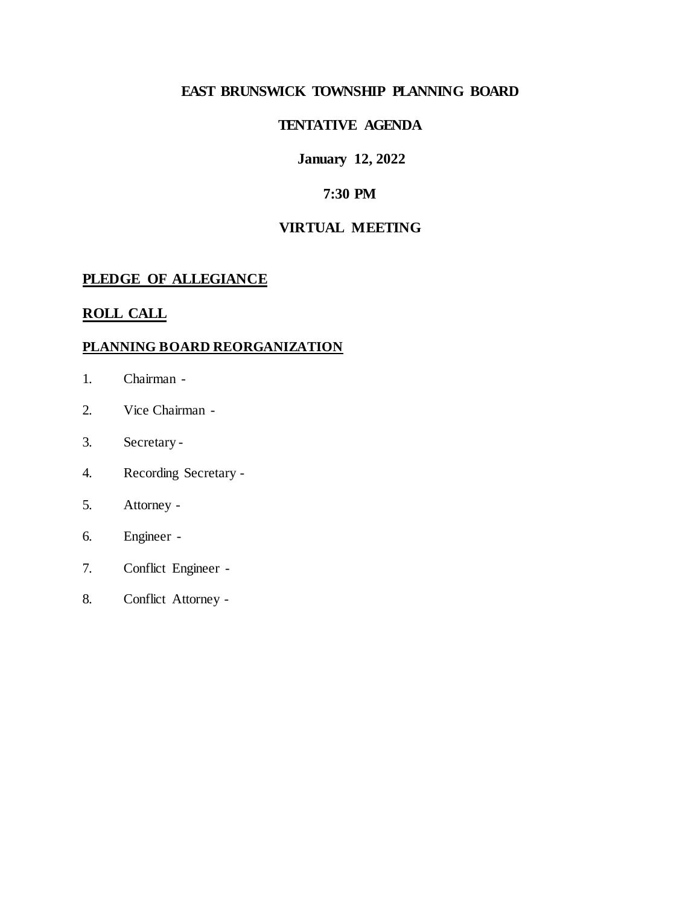### **EAST BRUNSWICK TOWNSHIP PLANNING BOARD**

#### **TENTATIVE AGENDA**

#### **January 12, 2022**

#### **7:30 PM**

#### **VIRTUAL MEETING**

#### **PLEDGE OF ALLEGIANCE**

#### **ROLL CALL**

#### **PLANNING BOARD REORGANIZATION**

- 1. Chairman -
- 2. Vice Chairman -
- 3. Secretary -
- 4. Recording Secretary -
- 5. Attorney -
- 6. Engineer -
- 7. Conflict Engineer -
- 8. Conflict Attorney -